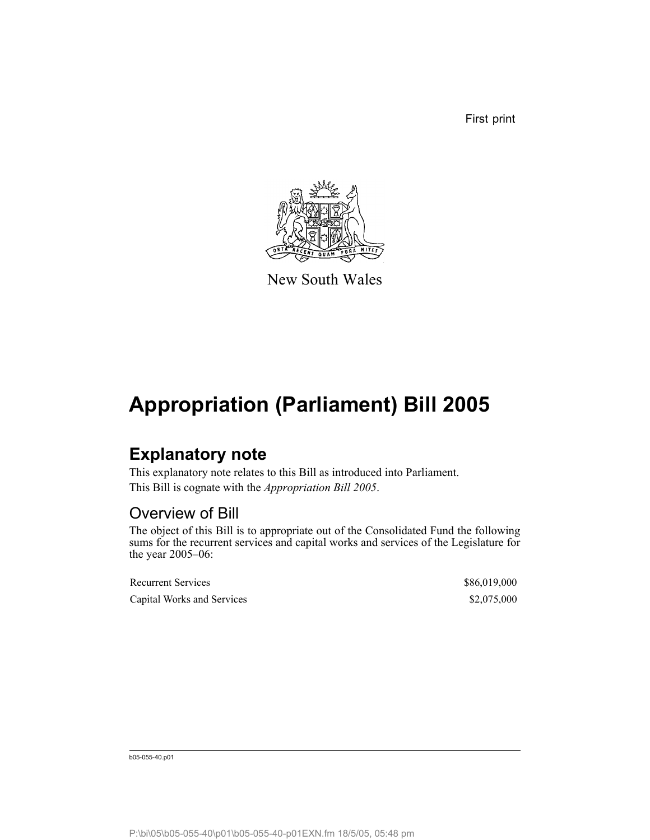First print



New South Wales

## **Appropriation (Parliament) Bill 2005**

### **Explanatory note**

This explanatory note relates to this Bill as introduced into Parliament. This Bill is cognate with the *Appropriation Bill 2005*.

#### Overview of Bill

The object of this Bill is to appropriate out of the Consolidated Fund the following sums for the recurrent services and capital works and services of the Legislature for the year 2005–06:

| <b>Recurrent Services</b>  | \$86,019,000 |
|----------------------------|--------------|
| Capital Works and Services | \$2,075,000  |

b05-055-40.p01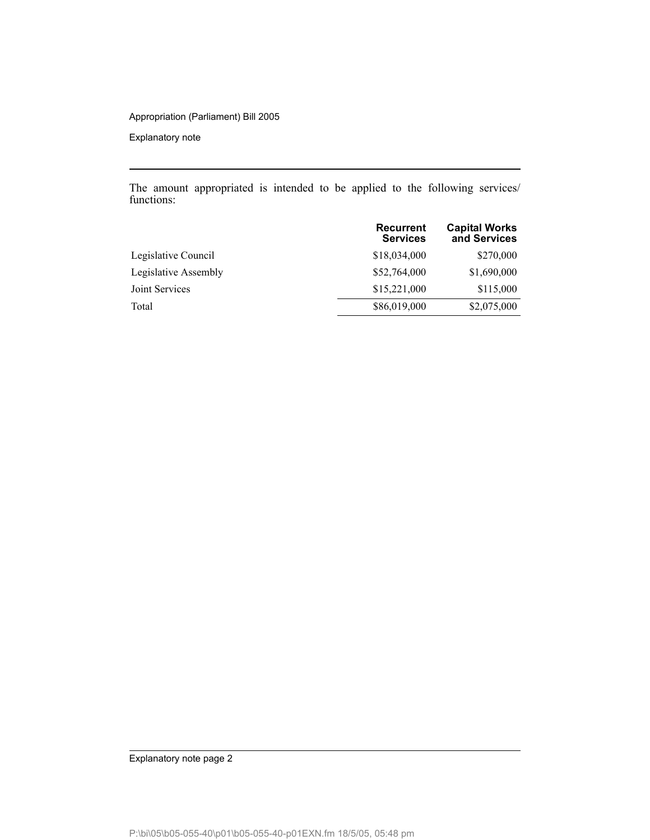#### Appropriation (Parliament) Bill 2005

Explanatory note

The amount appropriated is intended to be applied to the following services/ functions:

|                      | <b>Recurrent</b><br><b>Services</b> | <b>Capital Works</b><br>and Services |
|----------------------|-------------------------------------|--------------------------------------|
| Legislative Council  | \$18,034,000                        | \$270,000                            |
| Legislative Assembly | \$52,764,000                        | \$1,690,000                          |
| Joint Services       | \$15,221,000                        | \$115,000                            |
| Total                | \$86,019,000                        | \$2,075,000                          |

Explanatory note page 2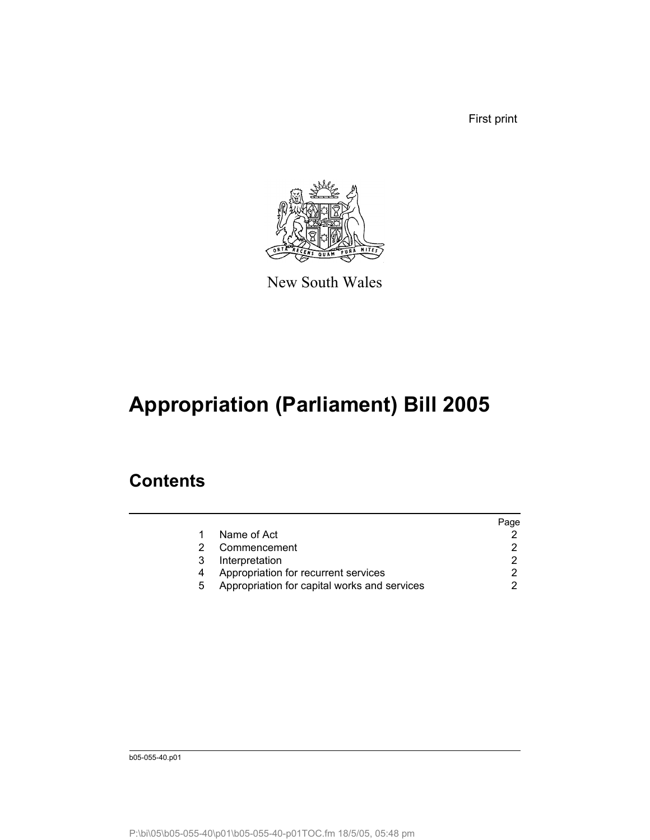First print



New South Wales

# **Appropriation (Parliament) Bill 2005**

### **Contents**

|   |                                              | Page |
|---|----------------------------------------------|------|
|   | Name of Act                                  |      |
|   | Commencement                                 |      |
| 3 | Interpretation                               |      |
|   | Appropriation for recurrent services         |      |
| 5 | Appropriation for capital works and services |      |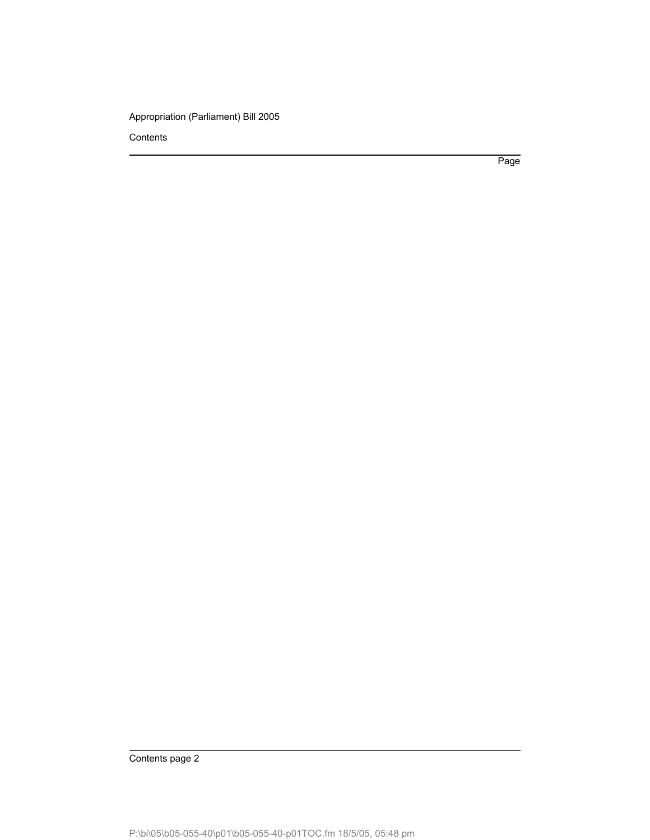Appropriation (Parliament) Bill 2005

**Contents** 

Page

Contents page 2

P:\bi\05\b05-055-40\p01\b05-055-40-p01TOC.fm 18/5/05, 05:48 pm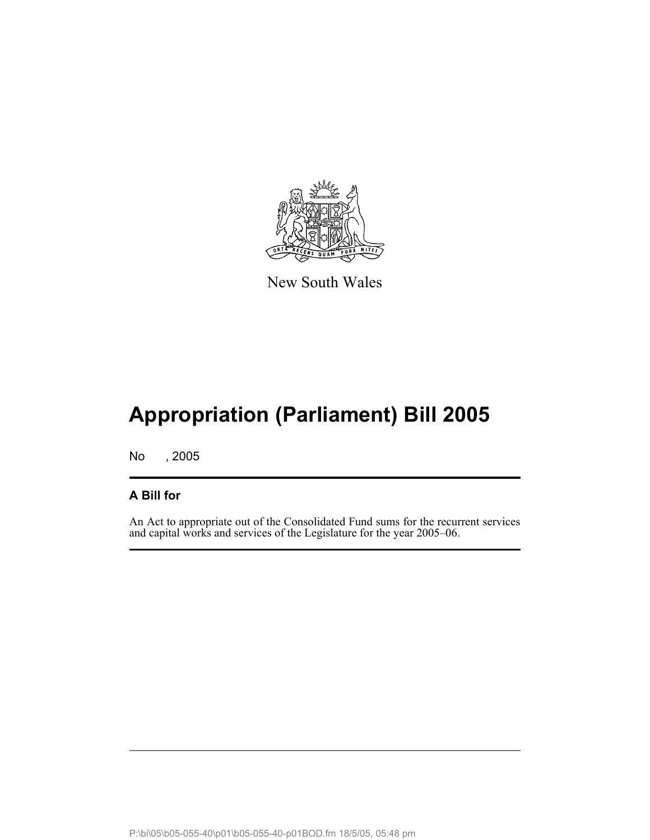

New South Wales

## **Appropriation (Parliament) Bill 2005**

No , 2005

#### **A Bill for**

An Act to appropriate out of the Consolidated Fund sums for the recurrent services and capital works and services of the Legislature for the year 2005–06.